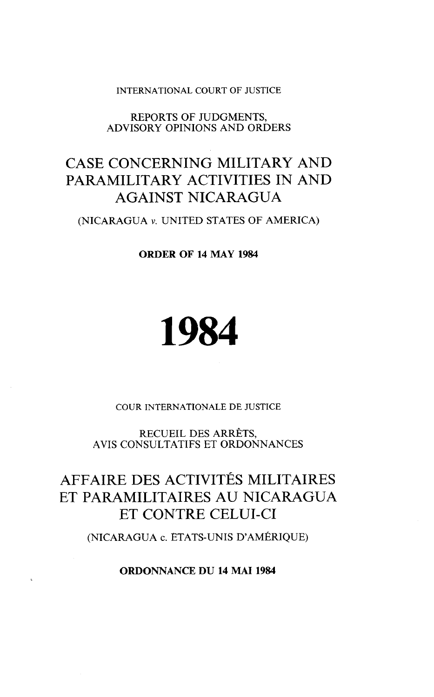#### INTERNATIONAL COURT OF JUSTICE

#### REPORTS OF JUDGMENTS, ADVISORY OPINIONS AND ORDERS

## CASE CONCERNING MILITARY AND PARAMILITARY ACTIVITIES IN AND AGAINST NICARAGUA

(NICARAGUA v. UNITED STATES OF AMERICA)

**ORDER OF 14 MAY 1984** 

# 1984

COUR INTERNATIONALE DE JUSTICE

RECUEIL DES ARRÊTS, AVIS CONSULTATIFS ET ORDONNANCES

## AFFAIRE DES ACTIVITÉS MILITAIRES ET PARAMILITAIRES AU NICARAGUA ET CONTRE CELUI-CI

(NICARAGUA c. ETATS-UNIS D'AMÉRIQUE)

**ORDONNANCE DU 14 MAI 1984**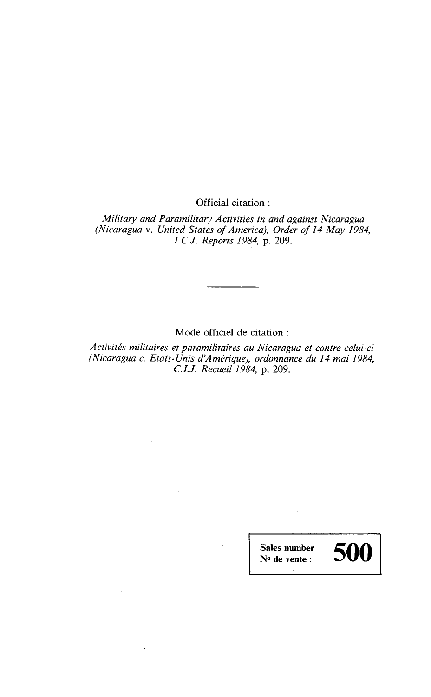Officia1 citation :

*Military and Paramilitary Activities in and against Nicaragua (Nicaragua* v. *United States of America), Order of 14 May 1984, I. C.J. Reports 1984,* p. 209.

Mode officiel de citation :

*Activités militaires et paramilitaires au Nicaragua et contre celui-ci (Nicaragua c. Etats-Unis d'Amérique), ordonnance du 14 mai 1984, C.I.J. Recueil 1984,* p. 209.

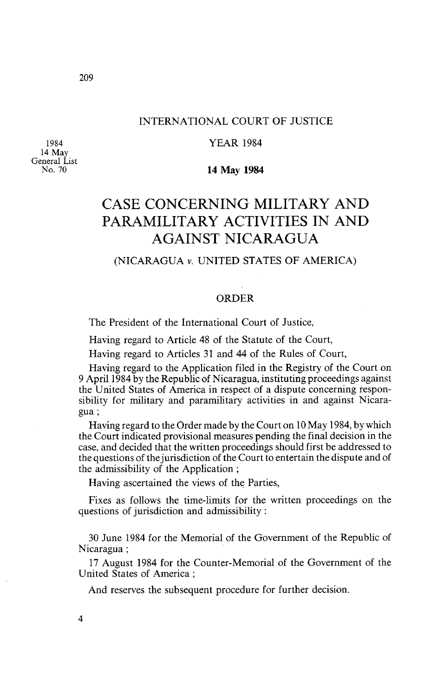#### INTERNATIONAL COURT OF JUSTICE

YEAR 1984

1984 14 May General List No. 70

 $209$ 

#### **14 May 1984**

## CASE CONCERNING MILITARY AND PARAMILITARY ACTIVITIES IN AND AGAINST NICARAGUA

#### (NICARAGUA v. UNITED STATES OF AMERICA)

#### ORDER

The President of the International Court of Justice,

Having regard to Article 48 of the Statute of the Court,

Having regard to Articles 31 and 44 of the Rules of Court,

Having regard to the Application filed in the Registry of the Court on 9 April1984 by the Republic of Nicaragua, instituting proceedings against the United States of America in respect of a dispute concerning responsibility for military and paramilitary activities in and against Nicaragua ;

Having regard to the Order made by the Court on 10 May 1984, by which the Court indicated provisional measures pending the final decision in the case, and decided that the written proceedings should first be addressed to the questions of the jurisdiction of the Court to entertain the dispute and of the admissibility of the Application ;

Having ascertained the views of the Parties,

Fixes as follows the time-limits for the written proceedings on the questions of jurisdiction and admissibility :

30 June 1984 for the Memorial of the Government of the Republic of Nicaragua ;

17 August 1984 for the Counter-Mernorial of the Government of the United States of America ;

And reserves the subsequent procedure for further decision.

 $\overline{4}$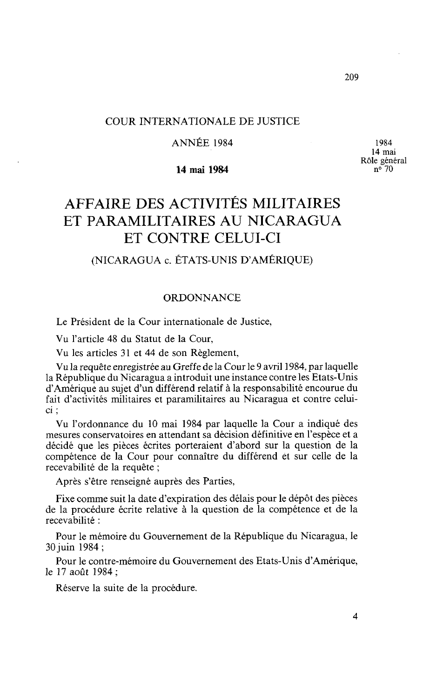1984 14 mai Rôle général **no** 70

#### COUR INTERNATIONALE DE JUSTICE

#### ANNÉE 1984

#### **14 mai 1984**

## AFFAIRE DES ACTIVITÉS MILITAIRES ET PARAMILITAIRES AU NICARAGUA ET CONTRE CELUI-CI

### (NICARAGUA c. ÉTATS-UNIS D'AMÉRIQUE)

#### ORDONNANCE

Le Président de la Cour internationale de Justice,

Vu l'article 48 du Statut de la Cour,

Vu les articles 31 et 44 de son Règlement,

Vu la requête enregistrée au Greffe de la Cour le 9 avril 1984, par laquelle la République du Nicaragua a introduit une instance contre les Etats-Unis d'Amérique au sujet d'un différend relatif à la responsabilité encourue du fait d'activités militaires et paramilitaires au Nicaragua et contre celuici ;

Vu l'ordonnance du 10 mai 1984 par laquelle la Cour a indiqué des mesures conservatoires en attendant sa décision définitive en l'espèce et a décidé que les pièces écrites porteraient d'abord sur la question de la compétence de la Cour pour connaître du différend et sur celle de la recevabilité de la requête ;

Après s'être renseigné auprès des Parties,

Fixe comme suit la date d'expiration des délais pour le dépôt des pièces de la procédure écrite relative à la question de la compétence et de la recevabilité :

Pour le mémoire du Gouvernement de la République du Nicaragua, le 30 juin 1984 ;

Pour le contre-mémoire du Gouvernement des Etats-Unis d'Amérique, le 17 août 1984 ;

Réserve la suite de la procédure.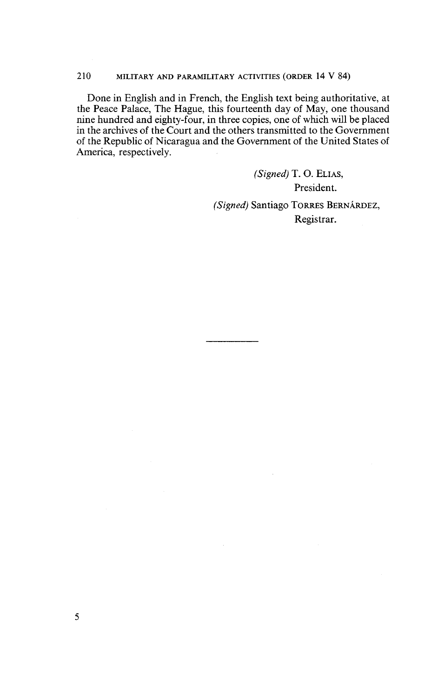#### 210 MILITARY AND PARAMILITARY ACTIVITIES (ORDER 14 V 84)

Done in English and in French, the English text being authoritative, at the Peace Palace, The Hague, this fourteenth day of May, one thousand nine hundred and eighty-four, in three copies, one of whch will be placed in the archives of the Court and the others transrnitted to the Government of the Republic of Nicaragua and the Govemment of the United States of America, respectively.

> *(Signed)* T. *O. ELIAS,*  President. *(Signed)* Santiago TORRES BERNARDEZ, Registrar.